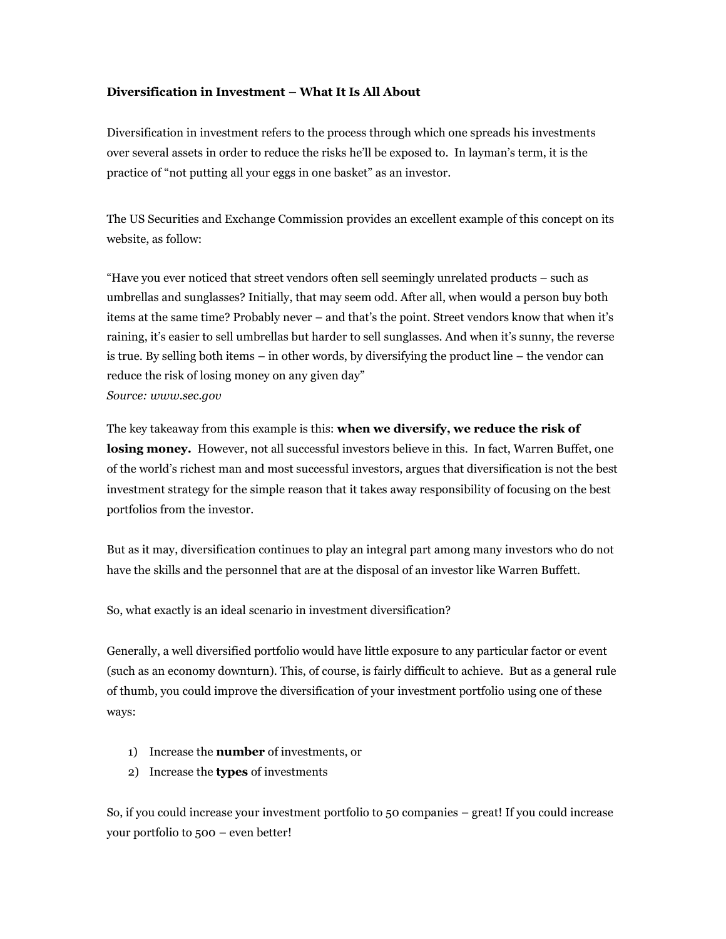## **Diversification in Investment – What It Is All About**

Diversification in investment refers to the process through which one spreads his investments over several assets in order to reduce the risks he'll be exposed to. In layman's term, it is the practice of "not putting all your eggs in one basket" as an investor.

The US Securities and Exchange Commission provides an excellent example of this concept on its website, as follow:

"Have you ever noticed that street vendors often sell seemingly unrelated products – such as umbrellas and sunglasses? Initially, that may seem odd. After all, when would a person buy both items at the same time? Probably never – and that's the point. Street vendors know that when it's raining, it's easier to sell umbrellas but harder to sell sunglasses. And when it's sunny, the reverse is true. By selling both items – in other words, by diversifying the product line – the vendor can reduce the risk of losing money on any given day" *Source: www.sec.gov*

The key takeaway from this example is this: **when we diversify, we reduce the risk of**  losing money. However, not all successful investors believe in this. In fact, Warren Buffet, one of the world's richest man and most successful investors, argues that diversification is not the best investment strategy for the simple reason that it takes away responsibility of focusing on the best portfolios from the investor.

But as it may, diversification continues to play an integral part among many investors who do not have the skills and the personnel that are at the disposal of an investor like Warren Buffett.

So, what exactly is an ideal scenario in investment diversification?

Generally, a well diversified portfolio would have little exposure to any particular factor or event (such as an economy downturn). This, of course, is fairly difficult to achieve. But as a general rule of thumb, you could improve the diversification of your investment portfolio using one of these ways:

- 1) Increase the **number** of investments, or
- 2) Increase the **types** of investments

So, if you could increase your investment portfolio to 50 companies – great! If you could increase your portfolio to 500 – even better!